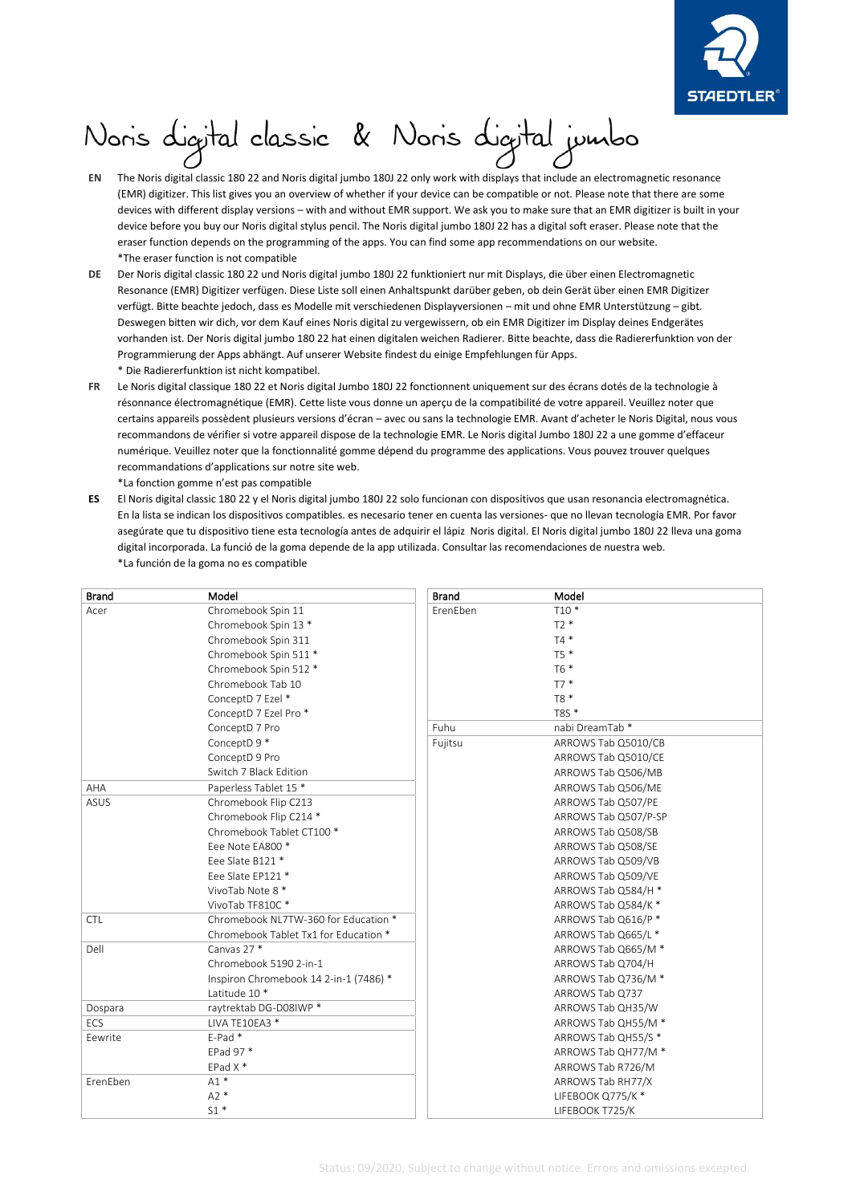

## ١

- **EN** The Noris digital classic 180 22 and Noris digital jumbo 180J 22 only work with displays that include an electromagnetic resonance (EMR) digitizer. This list gives you an overview of whether if your device can be compatible or not. Please note that there are some devices with different display versions – with and without EMR support. We ask you to make sure that an EMR digitizer is built in your device before you buy our Noris digital stylus pencil. The Noris digital jumbo 180J 22 has a digital soft eraser. Please note that the eraser function depends on the programming of the apps. You can find some app recommendations on our website. \*The eraser function is not compatible
- **DE** Der Noris digital classic 180 22 und Noris digital jumbo 180J 22 funktioniert nur mit Displays, die über einen Electromagnetic Resonance (EMR) Digitizer verfügen. Diese Liste soll einen Anhaltspunkt darüber geben, ob dein Gerät über einen EMR Digitizer verfügt. Bitte beachte jedoch, dass es Modelle mit verschiedenen Displayversionen – mit und ohne EMR Unterstützung – gibt. Deswegen bitten wir dich, vor dem Kauf eines Noris digital zu vergewissern, ob ein EMR Digitizer im Display deines Endgerätes vorhanden ist. Der Noris digital jumbo 180 22 hat einen digitalen weichen Radierer. Bitte beachte, dass die Radiererfunktion von der Programmierung der Apps abhängt. Auf unserer Website findest du einige Empfehlungen für Apps. \* Die Radiererfunktion ist nicht kompatibel.
- **FR** Le Noris digital classique 180 22 et Noris digital Jumbo 180J 22 fonctionnent uniquement sur des écrans dotés de la technologie à résonnance électromagnétique (EMR). Cette liste vous donne un aperçu de la compatibilité de votre appareil. Veuillez noter que certains appareils possèdent plusieurs versions d'écran – avec ou sans la technologie EMR. Avant d'acheter le Noris Digital, nous vous recommandons de vérifier si votre appareil dispose de la technologie EMR. Le Noris digital Jumbo 180J 22 a une gomme d'effaceur numérique. Veuillez noter que la fonctionnalité gomme dépend du programme des applications. Vous pouvez trouver quelques recommandations d'applications sur notre site web.
- \*La fonction gomme n'est pas compatible
- **ES** El Noris digital classic 180 22 y el Noris digital jumbo 180J 22 solo funcionan con dispositivos que usan resonancia electromagnética. En la lista se indican los dispositivos compatibles. es necesario tener en cuenta las versiones- que no llevan tecnología EMR. Por favor asegúrate que tu dispositivo tiene esta tecnología antes de adquirir el lápiz Noris digital. El Noris digital jumbo 180J 22 lleva una goma digital incorporada. La funció de la goma depende de la app utilizada. Consultar las recomendaciones de nuestra web. \*La función de la goma no es compatible

| <b>Brand</b> | Model                                  | <b>Brand</b> | Model                |
|--------------|----------------------------------------|--------------|----------------------|
| Acer         | Chromebook Spin 11                     | ErenEben     | $T10*$               |
|              | Chromebook Spin 13 *                   |              | $T2*$                |
|              | Chromebook Spin 311                    |              | $T4*$                |
|              | Chromebook Spin 511 *                  |              | T5 *                 |
|              | Chromebook Spin 512 *                  |              | T6 *                 |
|              | Chromebook Tab 10                      |              | $T7*$                |
|              | ConceptD 7 Ezel *                      |              | T8 *                 |
|              | ConceptD 7 Ezel Pro *                  |              | $T8S*$               |
|              | ConceptD 7 Pro                         | Fuhu         | nabi DreamTab*       |
|              | ConceptD 9 *                           | Fujitsu      | ARROWS Tab Q5010/CB  |
|              | ConceptD 9 Pro                         |              | ARROWS Tab Q5010/CE  |
|              | Switch 7 Black Edition                 |              | ARROWS Tab Q506/MB   |
| AHA          | Paperless Tablet 15 *                  |              | ARROWS Tab Q506/ME   |
| ASUS         | Chromebook Flip C213                   |              | ARROWS Tab Q507/PE   |
|              | Chromebook Flip C214 *                 |              | ARROWS Tab Q507/P-SP |
|              | Chromebook Tablet CT100 *              |              | ARROWS Tab Q508/SB   |
|              | Eee Note EA800 *                       |              | ARROWS Tab Q508/SE   |
|              | Eee Slate B121 *                       |              | ARROWS Tab Q509/VB   |
|              | Eee Slate EP121 *                      |              | ARROWS Tab Q509/VE   |
|              | VivoTab Note 8 *                       |              | ARROWS Tab Q584/H *  |
|              | VivoTab TF810C*                        |              | ARROWS Tab Q584/K *  |
| <b>CTL</b>   | Chromebook NL7TW-360 for Education *   |              | ARROWS Tab Q616/P *  |
|              | Chromebook Tablet Tx1 for Education *  |              | ARROWS Tab Q665/L *  |
| Dell         | Canvas 27 *                            |              | ARROWS Tab Q665/M *  |
|              | Chromebook 5190 2-in-1                 |              | ARROWS Tab Q704/H    |
|              | Inspiron Chromebook 14 2-in-1 (7486) * |              | ARROWS Tab Q736/M *  |
|              | Latitude 10 *                          |              | ARROWS Tab Q737      |
| Dospara      | raytrektab DG-D08IWP *                 |              | ARROWS Tab QH35/W    |
| <b>FCS</b>   | LIVA TE10EA3 *                         |              | ARROWS Tab QH55/M *  |
| Eewrite      | E-Pad*                                 |              | ARROWS Tab QH55/S *  |
|              | EPad 97 *                              |              | ARROWS Tab QH77/M *  |
|              | EPad $X^*$                             |              | ARROWS Tab R726/M    |
| ErenEben     | $A1*$                                  |              | ARROWS Tab RH77/X    |
|              | $A2*$                                  |              | LIFEBOOK Q775/K*     |
|              | $S1*$                                  |              | LIFEBOOK T725/K      |